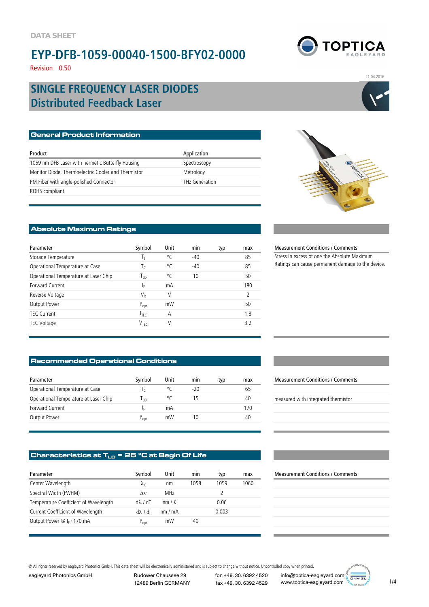Revision 0.50

### **Distributed Feedback Laser SINGLE FREQUENCY LASER DIODES**

| <b>General Product Information</b>                  |                |  |  |  |  |
|-----------------------------------------------------|----------------|--|--|--|--|
| Product                                             | Application    |  |  |  |  |
| 1059 nm DFB Laser with hermetic Butterfly Housing   |                |  |  |  |  |
|                                                     | Spectroscopy   |  |  |  |  |
| Monitor Diode, Thermoelectric Cooler and Thermistor | Metrology      |  |  |  |  |
| PM Fiber with angle-polished Connector              | THz Generation |  |  |  |  |
| ROHS compliant                                      |                |  |  |  |  |

### **Absolute Maximum Ratings**

| Parameter                             | Symbol           | Unit | min   | typ | max |
|---------------------------------------|------------------|------|-------|-----|-----|
| Storage Temperature                   | Tς               | °C   | $-40$ |     | 85  |
| Operational Temperature at Case       | Τr               | °C   | $-40$ |     | 85  |
| Operational Temperature at Laser Chip | Tтр              | °C   | 10    |     | 50  |
| Forward Current                       | ΙF               | mA   |       |     | 180 |
| Reverse Voltage                       | VR               | V    |       |     | C   |
| Output Power                          | $P_{opt}$        | mW   |       |     | 50  |
| <b>TEC Current</b>                    | $I_{\text{TEC}}$ | А    |       |     | 1.8 |
| TEC Voltage                           | V <sub>TFC</sub> | V    |       |     | 32  |
|                                       |                  |      |       |     |     |

### **Recommended Operational Conditions**

| Parameter                             | Symbol    | Unit | mın   | typ | max |
|---------------------------------------|-----------|------|-------|-----|-----|
| Operational Temperature at Case       | ١c        |      | $-20$ |     |     |
| Operational Temperature at Laser Chip | ۱۱۵       | ۰Γ   | 15    |     |     |
| Forward Current                       | lε        | mΑ   |       |     | 170 |
| Output Power                          | $P_{opt}$ | mW   | 10    |     | 40  |

### **Characteristics at T<sub>LD</sub> = 25 °C at Begin Of Life**

| Parameter                             | Symbol                 | Unit  | mın  | typ   | max  |
|---------------------------------------|------------------------|-------|------|-------|------|
| Center Wavelength                     | $\lambda_{\mathsf{C}}$ | nm    | 1058 | 1059  | 1060 |
| Spectral Width (FWHM)                 | $\Delta v$             | MHz   |      |       |      |
| Temperature Coefficient of Wavelength | $d\lambda/dT$          | nm/K  |      | 0.06  |      |
| Current Coefficient of Wavelength     | $d\lambda$ / dl        | nm/mA |      | 0.003 |      |
| Output Power $@I_{F}:170mA$           | $P_{opt}$              | mW    | 40   |       |      |



21.04.2016





#### Measurement Conditions / Comments

Stress in excess of one the Absolute Maximum Ratings can cause permanent damage to the device.

#### Measurement Conditions / Comments

measured with integrated thermistor

#### Measurement Conditions / Comments

© All rights reserved by eagleyard Photonics GmbH. This data sheet will be electronically administered and is subject to change without notice. Uncontrolled copy when printed.

12489 Berlin GERMANY fax +49. 30. 6392 4529

eagleyard Photonics GmbH Rudower Chaussee 29 fon +49. 30. 6392 4520

ERMANY  $\begin{array}{ccc} \text{fax +49. 30. 6392 4529} & \text{www.toptica-eagleyard.com} \end{array}$ info@toptica-eagleyard.com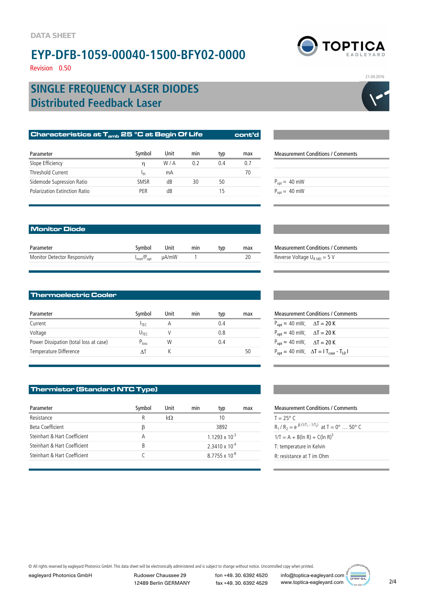Revision 0.50

### **Distributed Feedback Laser SINGLE FREQUENCY LASER DIODES**

| Characteristics at T <sub>amb</sub> 25 °C at Begin Of Life |             |      | cont'd |     |     |                                          |
|------------------------------------------------------------|-------------|------|--------|-----|-----|------------------------------------------|
| Parameter                                                  | Symbol      | Unit | min    | typ | max | <b>Measurement Conditions / Comments</b> |
| Slope Efficiency                                           | η           | W/A  | 0.2    | 0.4 | 0.7 |                                          |
| Threshold Current                                          | ŀh          | mA   |        |     | 70  |                                          |
| Sidemode Supression Ratio                                  | <b>SMSR</b> | dB   | 30     | 50  |     | $P_{opt} = 40$ mW                        |
| Polarization Extinction Ratio                              | PER         | dB   |        | 15  |     | $P_{opt} = 40$ mW                        |
|                                                            |             |      |        |     |     |                                          |

| <b>Measurement Conditions / Comments</b> |  |  |  |  |
|------------------------------------------|--|--|--|--|
|                                          |  |  |  |  |
|                                          |  |  |  |  |
| $P_{opt} = 40$ mW                        |  |  |  |  |
| $P_{opt} = 40$ mW                        |  |  |  |  |
|                                          |  |  |  |  |

Measurement Conditions / Comments Reverse Voltage  $U_{RMD} = 5$  V

| l Monitor Diode               |        |                                            |     |     |     |
|-------------------------------|--------|--------------------------------------------|-----|-----|-----|
| Parameter                     | Symbol | Unit                                       | min | tvp | max |
| Monitor Detector Responsivity |        | $I_{\text{mon}}/P_{\text{oot}}$ $\mu$ A/mW |     |     |     |
|                               |        |                                            |     |     |     |

### **Thermoelectric Cooler**

| Parameter                              | Svmbol                      | Unit | min | typ | max | <b>Measurement Conditions / Comments</b>                        |
|----------------------------------------|-----------------------------|------|-----|-----|-----|-----------------------------------------------------------------|
| Current                                | $I$ TFC                     | A    |     | 0.4 |     | $P_{\text{opt}} = 40 \text{ mW}, \quad \Delta T = 20 \text{ K}$ |
| Voltage                                | $\mathsf{U}_{\mathsf{TFC}}$ |      |     | 0.8 |     | $P_{opt} = 40$ mW, $\Delta T = 20$ K                            |
| Power Dissipation (total loss at case) | P <sub>loss</sub>           | W    |     | 0.4 |     | $P_{\text{opt}} = 40 \text{ mW}, \quad \Delta T = 20 \text{ K}$ |
| Temperature Difference                 | ٨T                          |      |     |     | 50  | $P_{opt} = 40$ mW, $\Delta T = I T_{case} - T_{LD} I$           |
|                                        |                             |      |     |     |     |                                                                 |

### **Thermistor (Standard NTC Type)**

| Parameter                    | Symbol | Unit | min | typ                     | max | <b>Measurement Conditions / Comments</b>             |
|------------------------------|--------|------|-----|-------------------------|-----|------------------------------------------------------|
| Resistance                   | R      | kΩ   |     | 10                      |     | $T = 25^{\circ}$ C                                   |
| Beta Coefficient             |        |      |     | 3892                    |     | $R_1/R_2 = e^{\beta (1/T_1 - 1/T_2)}$ at T = 0°  50° |
| Steinhart & Hart Coefficient | А      |      |     | $1.1293 \times 10^{-3}$ |     | $1/T = A + B(ln R) + C(ln R)3$                       |
| Steinhart & Hart Coefficient |        |      |     | $2.3410 \times 10^{-4}$ |     | T: temperature in Kelvin                             |
| Steinhart & Hart Coefficient |        |      |     | $8.7755 \times 10^{-8}$ |     | R: resistance at T im Ohm                            |
|                              |        |      |     |                         |     |                                                      |

|                                                                 | <b>Measurement Conditions / Comments</b>                            |  |
|-----------------------------------------------------------------|---------------------------------------------------------------------|--|
| $P_{\text{opt}} = 40 \text{ mW}, \quad \Delta T = 20 \text{ K}$ |                                                                     |  |
| $P_{\text{opt}} = 40 \text{ mW}, \quad \Delta T = 20 \text{ K}$ |                                                                     |  |
| $P_{\text{opt}} = 40 \text{ mW}, \quad \Delta T = 20 \text{ K}$ |                                                                     |  |
|                                                                 | $P_{\text{opt}} = 40$ mW, $\Delta T = I T_{\text{case}} - T_{LD} I$ |  |

© All rights reserved by eagleyard Photonics GmbH. This data sheet will be electronically administered and is subject to change without notice. Uncontrolled copy when printed.

eagleyard Photonics GmbH Rudower Chaussee 29 fon +49. 30. 6392 4520 12489 Berlin GERMANY fax +49. 30. 6392 4529

ERMANY  $\begin{array}{ccc} \text{fax +49. 30. 6392 4529} & \text{www.toptica-eagleyard.com} \end{array}$ info@toptica-eagleyard.com



21.04.2016

**TOPTICA** 

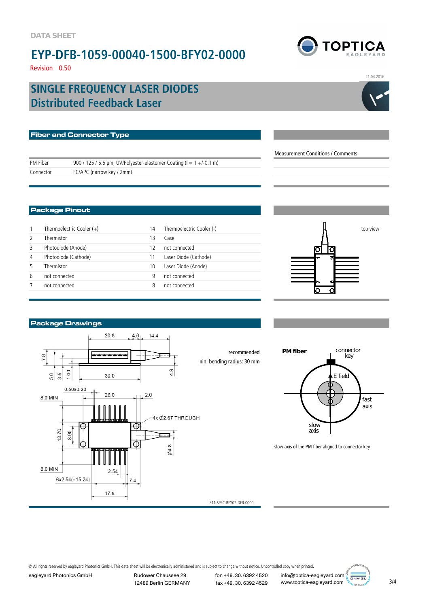Revision 0.50

### **Distributed Feedback Laser SINGLE FREQUENCY LASER DIODES**

| <b>Fiber and Connector Type</b>                                                     |                                          |
|-------------------------------------------------------------------------------------|------------------------------------------|
|                                                                                     | <b>Measurement Conditions / Comments</b> |
| PM Fiber<br>900 / 125 / 5.5 µm, UV/Polyester-elastomer Coating ( $l = 1 +$ /-0.1 m) |                                          |
| FC/APC (narrow key / 2mm)<br>Connector                                              |                                          |
|                                                                                     |                                          |
|                                                                                     |                                          |
|                                                                                     |                                          |
| <b>Package Pinout</b>                                                               |                                          |

|                | Thermoelectric Cooler $(+)$ | 14 | Thermoelectric Cooler (-) |
|----------------|-----------------------------|----|---------------------------|
| 2              | Thermistor                  | 3  | Case                      |
| 3              | Photodiode (Anode)          | 12 | not connected             |
| $\overline{4}$ | Photodiode (Cathode)        |    | Laser Diode (Cathode)     |
| 5              | Thermistor                  | 10 | Laser Diode (Anode)       |
| 6              | not connected               | 9  | not connected             |
|                | not connected               | 8  | not connected             |





recommended min. bending radius: 30 mm



slow axis of the PM fiber aligned to connector key

axis

Z11-SPEC-BFY02-DFB-0000

© All rights reserved by eagleyard Photonics GmbH. This data sheet will be electronically administered and is subject to change without notice. Uncontrolled copy when printed.

eagleyard Photonics GmbH Rudower Chaussee 29 fon +49. 30. 6392 4520 12489 Berlin GERMANY fax +49. 30. 6392 4529

ERMANY  $\begin{array}{ccc} \text{fax +49. 30. 6392 4529} & \text{www.toptica-eagleyard.com} \end{array}$ info@toptica-eagleyard.com





21.04.2016



ī